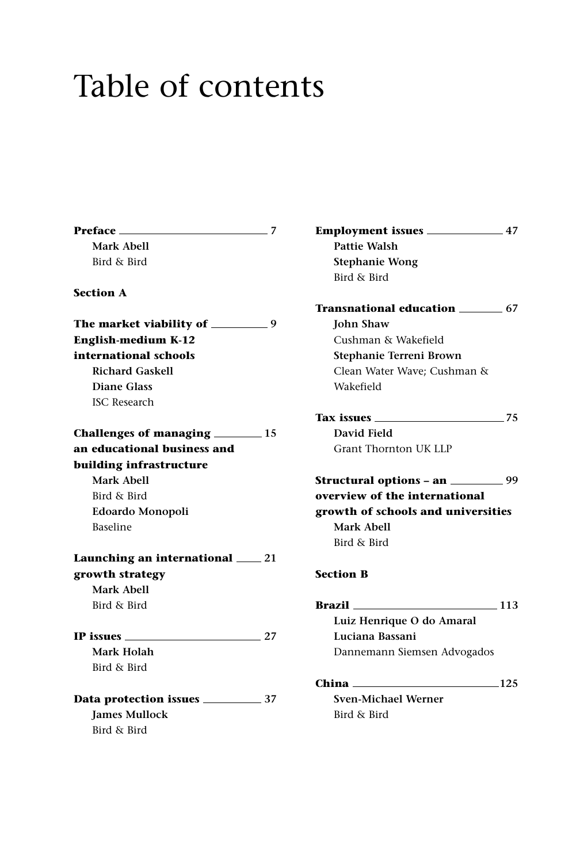## Table of contents

**Preface 7 Mark Abell** Bird & Bird **Section A The market viability of 9 English-medium K-12 international schools Richard Gaskell Diane Glass** ISC Research **Challenges of managing 15 an educational business and building infrastructure Mark Abell** Bird & Bird **Edoardo Monopoli** Baseline **Launching an international 21 growth strategy Mark Abell** Bird & Bird **IP issues 27 Mark Holah** Bird & Bird **Data protection issues 37 James Mullock** Bird & Bird

**Employment issues 47 Pattie Walsh Stephanie Wong** Bird & Bird **Transnational education 67 John Shaw** Cushman & Wakefield **Stephanie Terreni Brown** Clean Water Wave; Cushman & Wakefield **Tax issues 75 David Field** Grant Thornton UK LLP **Structural options – an** 299 **overview of the international growth of schools and universities Mark Abell** Bird & Bird **Section B Brazil 113 Luiz Henrique O do Amaral Luciana Bassani** Dannemann Siemsen Advogados **China 125 Sven-Michael Werner** Bird & Bird